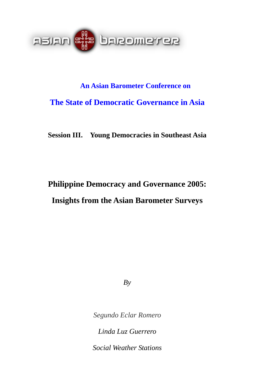

# **An Asian Barometer Conference on The State of Democratic Governance in Asia**

**Session III. Young Democracies in Southeast Asia** 

## **Philippine Democracy and Governance 2005: Insights from the Asian Barometer Surveys**

*By* 

*Segundo Eclar Romero* 

*Linda Luz Guerrero* 

*Social Weather Stations*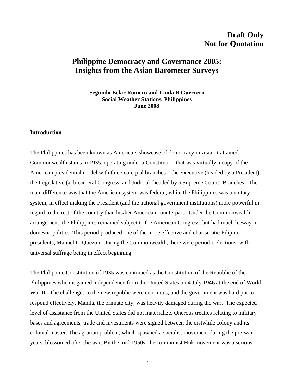## **Draft Only Not for Quotation**

### **Philippine Democracy and Governance 2005: Insights from the Asian Barometer Surveys**

**Segundo Eclar Romero and Linda B Guerrero Social Weather Stations, Philippines June 2008** 

#### **Introduction**

The Philippines has been known as America's showcase of democracy in Asia. It attained Commonwealth status in 1935, operating under a Constitution that was virtually a copy of the American presidential model with three co-equal branches – the Executive (headed by a President), the Legislative (a bicameral Congress, and Judicial (headed by a Supreme Court) Branches. The main difference was that the American system was federal, while the Philippines was a unitary system, in effect making the President (and the national government institutions) more powerful in regard to the rest of the country than his/her American counterpart. Under the Commonwealth arrangement, the Philippines remained subject to the American Congress, but had much leeway in domestic politics. This period produced one of the more effective and charismatic Filipino presidents, Manuel L. Quezon. During the Commonwealth, there were periodic elections, with universal suffrage being in effect beginning \_\_\_\_.

The Philippine Constitution of 1935 was continued as the Constitution of the Republic of the Philippines when it gained independence from the United States on 4 July 1946 at the end of World War II. The challenges to the new republic were enormous, and the government was hard put to respond effectively. Manila, the primate city, was heavily damaged during the war. The expected level of assistance from the United States did not materialize. Onerous treaties relating to military bases and agreements, trade and investments were signed between the erstwhile colony and its colonial master. The agrarian problem, which spawned a socialist movement during the pre-war years, blossomed after the war. By the mid-1950s, the communist Huk movement was a serious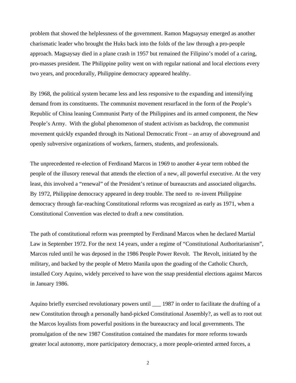problem that showed the helplessness of the government. Ramon Magsaysay emerged as another charismatic leader who brought the Huks back into the folds of the law through a pro-people approach. Magsaysay died in a plane crash in 1957 but remained the Filipino's model of a caring, pro-masses president. The Philippine polity went on with regular national and local elections every two years, and procedurally, Philippine democracy appeared healthy.

By 1968, the political system became less and less responsive to the expanding and intensifying demand from its constituents. The communist movement resurfaced in the form of the People's Republic of China leaning Communist Party of the Philippines and its armed component, the New People's Army. With the global phenomenon of student activism as backdrop, the communist movement quickly expanded through its National Democratic Front – an array of aboveground and openly subversive organizations of workers, farmers, students, and professionals.

The unprecedented re-election of Ferdinand Marcos in 1969 to another 4-year term robbed the people of the illusory renewal that attends the election of a new, all powerful executive. At the very least, this involved a "renewal" of the President's retinue of bureaucrats and associated oligarchs. By 1972, Philippine democracy appeared in deep trouble. The need to re-invent Philippine democracy through far-reaching Constitutional reforms was recognized as early as 1971, when a Constitutional Convention was elected to draft a new constitution.

The path of constitutional reform was preempted by Ferdinand Marcos when he declared Martial Law in September 1972. For the next 14 years, under a regime of "Constitutional Authoritarianism", Marcos ruled until he was deposed in the 1986 People Power Revolt. The Revolt, initiated by the military, and backed by the people of Metro Manila upon the goading of the Catholic Church, installed Cory Aquino, widely perceived to have won the snap presidential elections against Marcos in January 1986.

Aquino briefly exercised revolutionary powers until \_\_\_ 1987 in order to facilitate the drafting of a new Constitution through a personally hand-picked Constitutional Assembly?, as well as to root out the Marcos loyalists from powerful positions in the bureaucracy and local governments. The promulgation of the new 1987 Constitution contained the mandates for more reforms towards greater local autonomy, more participatory democracy, a more people-oriented armed forces, a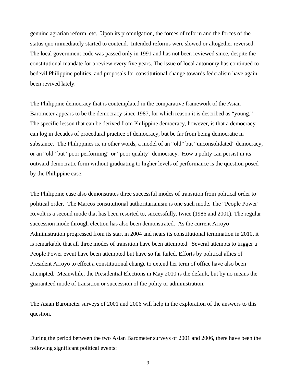genuine agrarian reform, etc. Upon its promulgation, the forces of reform and the forces of the status quo immediately started to contend. Intended reforms were slowed or altogether reversed. The local government code was passed only in 1991 and has not been reviewed since, despite the constitutional mandate for a review every five years. The issue of local autonomy has continued to bedevil Philippine politics, and proposals for constitutional change towards federalism have again been revived lately.

The Philippine democracy that is contemplated in the comparative framework of the Asian Barometer appears to be the democracy since 1987, for which reason it is described as "young." The specific lesson that can be derived from Philippine democracy, however, is that a democracy can log in decades of procedural practice of democracy, but be far from being democratic in substance. The Philippines is, in other words, a model of an "old" but "unconsolidated" democracy, or an "old" but "poor performing" or "poor quality" democracy. How a polity can persist in its outward democratic form without graduating to higher levels of performance is the question posed by the Philippine case.

The Philippine case also demonstrates three successful modes of transition from political order to political order. The Marcos constitutional authoritarianism is one such mode. The "People Power" Revolt is a second mode that has been resorted to, successfully, twice (1986 and 2001). The regular succession mode through election has also been demonstrated. As the current Arroyo Administration progressed from its start in 2004 and nears its constitutional termination in 2010, it is remarkable that all three modes of transition have been attempted. Several attempts to trigger a People Power event have been attempted but have so far failed. Efforts by political allies of President Arroyo to effect a constitutional change to extend her term of office have also been attempted. Meanwhile, the Presidential Elections in May 2010 is the default, but by no means the guaranteed mode of transition or succession of the polity or administration.

The Asian Barometer surveys of 2001 and 2006 will help in the exploration of the answers to this question.

During the period between the two Asian Barometer surveys of 2001 and 2006, there have been the following significant political events: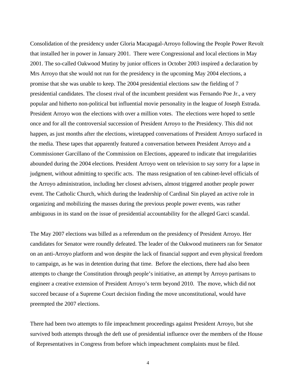Consolidation of the presidency under Gloria Macapagal-Arroyo following the People Power Revolt that installed her in power in January 2001. There were Congressional and local elections in May 2001. The so-called Oakwood Mutiny by junior officers in October 2003 inspired a declaration by Mrs Arroyo that she would not run for the presidency in the upcoming May 2004 elections, a promise that she was unable to keep. The 2004 presidential elections saw the fielding of 7 presidential candidates. The closest rival of the incumbent president was Fernando Poe Jr., a very popular and hitherto non-political but influential movie personality in the league of Joseph Estrada. President Arroyo won the elections with over a million votes. The elections were hoped to settle once and for all the controversial succession of President Arroyo to the Presidency. This did not happen, as just months after the elections, wiretapped conversations of President Arroyo surfaced in the media. These tapes that apparently featured a conversation between President Arroyo and a Commissioner Garcillano of the Commission on Elections, appeared to indicate that irregularities abounded during the 2004 elections. President Arroyo went on television to say sorry for a lapse in judgment, without admitting to specific acts. The mass resignation of ten cabinet-level officials of the Arroyo administration, including her closest advisers, almost triggered another people power event. The Catholic Church, which during the leadership of Cardinal Sin played an active role in organizing and mobilizing the masses during the previous people power events, was rather ambiguous in its stand on the issue of presidential accountability for the alleged Garci scandal.

The May 2007 elections was billed as a referendum on the presidency of President Arroyo. Her candidates for Senator were roundly defeated. The leader of the Oakwood mutineers ran for Senator on an anti-Arroyo platform and won despite the lack of financial support and even physical freedom to campaign, as he was in detention during that time. Before the elections, there had also been attempts to change the Constitution through people's initiative, an attempt by Arroyo partisans to engineer a creative extension of President Arroyo's term beyond 2010. The move, which did not succeed because of a Supreme Court decision finding the move unconstitutional, would have preempted the 2007 elections.

There had been two attempts to file impeachment proceedings against President Arroyo, but she survived both attempts through the deft use of presidential influence over the members of the House of Representatives in Congress from before which impeachment complaints must be filed.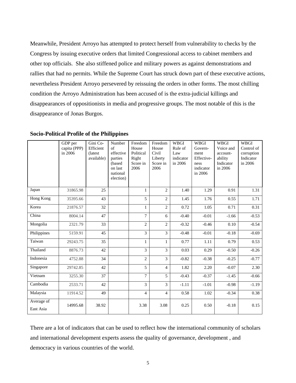Meanwhile, President Arroyo has attempted to protect herself from vulnerability to checks by the Congress by issuing executive orders that limited Congressional access to cabinet members and other top officials. She also stiffened police and military powers as against demonstrations and rallies that had no permits. While the Supreme Court has struck down part of these executive actions, nevertheless President Arroyo persevered by reissuing the orders in other forms. The most chilling condition the Arroyo Administration has been accused of is the extra-judicial killings and disappearances of oppositionists in media and progressive groups. The most notable of this is the disappearance of Jonas Burgos.

|                         | GDP per<br>capita (PPP)<br>in 2006 | Gini Co-<br>Efficient<br>(latest)<br>available) | Number<br>of<br>effective<br>parties<br>(based<br>on last<br>national<br>election) | Freedom<br>House<br>Political<br>Right<br>Score in<br>2006 | Freedom<br>House<br>Civil<br>Liberty<br>Score in<br>2006 | WBGI<br>Rule of<br>Law<br>indicator<br>in 2006 | WBGI<br>Govern-<br>ment<br>Effective-<br>ness<br>indicator<br>in 2006 | WBGI<br>Voice and<br>account-<br>ability<br>Indicator<br>in 2006 | <b>WBGI</b><br>Control of<br>corruption<br>Indicator<br>in 2006 |
|-------------------------|------------------------------------|-------------------------------------------------|------------------------------------------------------------------------------------|------------------------------------------------------------|----------------------------------------------------------|------------------------------------------------|-----------------------------------------------------------------------|------------------------------------------------------------------|-----------------------------------------------------------------|
| Japan                   | 31865.98                           | 25                                              |                                                                                    | $\mathbf{1}$                                               | $\overline{2}$                                           | 1.40                                           | 1.29                                                                  | 0.91                                                             | 1.31                                                            |
| Hong Kong               | 35395.66                           | 43                                              |                                                                                    | 5                                                          | $\overline{2}$                                           | 1.45                                           | 1.76                                                                  | 0.55                                                             | 1.71                                                            |
| Korea                   | 21876.57                           | 32                                              |                                                                                    | $\mathbf{1}$                                               | $\overline{2}$                                           | 0.72                                           | 1.05                                                                  | 0.71                                                             | 0.31                                                            |
| China                   | 8004.14                            | 47                                              |                                                                                    | 7                                                          | 6                                                        | $-0.40$                                        | $-0.01$                                                               | $-1.66$                                                          | $-0.53$                                                         |
| Mongolia                | 2321.79                            | 33                                              |                                                                                    | $\overline{c}$                                             | $\overline{2}$                                           | $-0.32$                                        | $-0.46$                                                               | 0.10                                                             | $-0.54$                                                         |
| Philippines             | 5159.91                            | 45                                              |                                                                                    | 3                                                          | $\overline{3}$                                           | $-0.48$                                        | $-0.01$                                                               | $-0.18$                                                          | $-0.69$                                                         |
| Taiwan                  | 29243.75                           | 35                                              |                                                                                    | 1                                                          | $\mathbf{1}$                                             | 0.77                                           | 1.11                                                                  | 0.79                                                             | 0.53                                                            |
| Thailand                | 8876.73                            | 42                                              |                                                                                    | 3                                                          | $\overline{3}$                                           | 0.03                                           | 0.29                                                                  | $-0.50$                                                          | $-0.26$                                                         |
| Indonesia               | 4752.88                            | 34                                              |                                                                                    | $\overline{2}$                                             | $\overline{3}$                                           | $-0.82$                                        | $-0.38$                                                               | $-0.25$                                                          | $-0.77$                                                         |
| Singapore               | 29742.85                           | 42                                              |                                                                                    | 5                                                          | $\overline{4}$                                           | 1.82                                           | 2.20                                                                  | $-0.07$                                                          | 2.30                                                            |
| Vietnam                 | 3255.30                            | 37                                              |                                                                                    | 7                                                          | 5                                                        | $-0.43$                                        | $-0.37$                                                               | $-1.45$                                                          | $-0.66$                                                         |
| Cambodia                | 2533.71                            | 42                                              |                                                                                    | 3                                                          | $\overline{3}$                                           | $-1.11$                                        | $-1.01$                                                               | $-0.98$                                                          | $-1.19$                                                         |
| Malaysia                | 11914.52                           | 49                                              |                                                                                    | $\overline{4}$                                             | $\overline{4}$                                           | 0.58                                           | 1.02                                                                  | $-0.34$                                                          | 0.38                                                            |
| Average of<br>East Asia | 14995.68                           | 38.92                                           |                                                                                    | 3.38                                                       | 3.08                                                     | 0.25                                           | 0.50                                                                  | $-0.18$                                                          | 0.15                                                            |

**Socio-Political Profile of the Philippines** 

There are a lot of indicators that can be used to reflect how the international community of scholars and international development experts assess the quality of governance, development , and democracy in various countries of the world.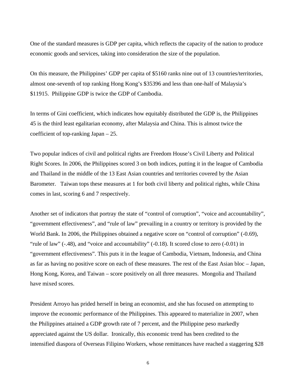One of the standard measures is GDP per capita, which reflects the capacity of the nation to produce economic goods and services, taking into consideration the size of the population.

On this measure, the Philippines' GDP per capita of \$5160 ranks nine out of 13 countries/territories, almost one-seventh of top ranking Hong Kong's \$35396 and less than one-half of Malaysia's \$11915. Philippine GDP is twice the GDP of Cambodia.

In terms of Gini coefficient, which indicates how equitably distributed the GDP is, the Philippines 45 is the third least egalitarian economy, after Malaysia and China. This is almost twice the coefficient of top-ranking Japan – 25.

Two popular indices of civil and political rights are Freedom House's Civil Liberty and Political Right Scores. In 2006, the Philippines scored 3 on both indices, putting it in the league of Cambodia and Thailand in the middle of the 13 East Asian countries and territories covered by the Asian Barometer. Taiwan tops these measures at 1 for both civil liberty and political rights, while China comes in last, scoring 6 and 7 respectively.

Another set of indicators that portray the state of "control of corruption", "voice and accountability", "government effectiveness", and "rule of law" prevailing in a country or territory is provided by the World Bank. In 2006, the Philippines obtained a negative score on "control of corruption" (-0.69), "rule of law" (-.48), and "voice and accountability" (-0.18). It scored close to zero (-0.01) in "government effectiveness". This puts it in the league of Cambodia, Vietnam, Indonesia, and China as far as having no positive score on each of these measures. The rest of the East Asian bloc – Japan, Hong Kong, Korea, and Taiwan – score positively on all three measures. Mongolia and Thailand have mixed scores.

President Arroyo has prided herself in being an economist, and she has focused on attempting to improve the economic performance of the Philippines. This appeared to materialize in 2007, when the Philippines attained a GDP growth rate of 7 percent, and the Philippine peso markedly appreciated against the US dollar. Ironically, this economic trend has been credited to the intensified diaspora of Overseas Filipino Workers, whose remittances have reached a staggering \$28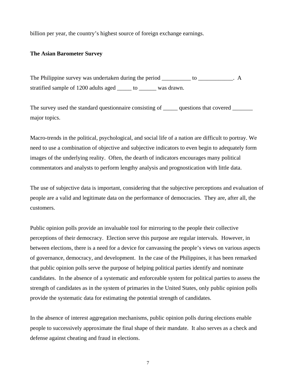billion per year, the country's highest source of foreign exchange earnings.

#### **The Asian Barometer Survey**

The Philippine survey was undertaken during the period \_\_\_\_\_\_\_\_\_\_ to \_\_\_\_\_\_\_\_\_\_. A stratified sample of 1200 adults aged \_\_\_\_\_\_ to \_\_\_\_\_\_\_ was drawn.

The survey used the standard questionnaire consisting of <u>equestions</u> that covered major topics.

Macro-trends in the political, psychological, and social life of a nation are difficult to portray. We need to use a combination of objective and subjective indicators to even begin to adequately form images of the underlying reality. Often, the dearth of indicators encourages many political commentators and analysts to perform lengthy analysis and prognostication with little data.

The use of subjective data is important, considering that the subjective perceptions and evaluation of people are a valid and legitimate data on the performance of democracies. They are, after all, the customers.

Public opinion polls provide an invaluable tool for mirroring to the people their collective perceptions of their democracy. Election serve this purpose are regular intervals. However, in between elections, there is a need for a device for canvassing the people's views on various aspects of governance, democracy, and development. In the case of the Philippines, it has been remarked that public opinion polls serve the purpose of helping political parties identify and nominate candidates. In the absence of a systematic and enforceable system for political parties to assess the strength of candidates as in the system of primaries in the United States, only public opinion polls provide the systematic data for estimating the potential strength of candidates.

In the absence of interest aggregation mechanisms, public opinion polls during elections enable people to successively approximate the final shape of their mandate. It also serves as a check and defense against cheating and fraud in elections.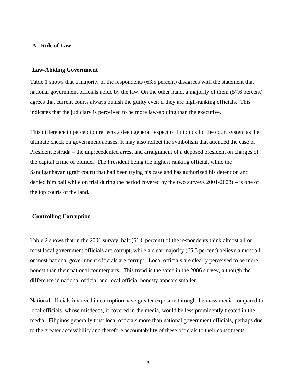#### **A. Rule of Law**

#### **Law-Abiding Government**

Table 1 shows that a majority of the respondents (63.5 percent) disagrees with the statement that national government officials abide by the law. On the other hand, a majority of them (57.6 percent) agrees that current courts always punish the guilty even if they are high-ranking officials. This indicates that the judiciary is perceived to be more law-abiding than the executive.

This difference in perception reflects a deep general respect of Filipinos for the court system as the ultimate check on government abuses. It may also reflect the symbolism that attended the case of President Estrada – the unprecedented arrest and arraignment of a deposed president on charges of the capital crime of plunder. The President being the highest ranking official, while the Sandiganbayan (graft court) that had been trying his case and has authorized his detention and denied him bail while on trial during the period covered by the two surveys 2001-2008) – is one of the top courts of the land.

#### **Controlling Corruption**

Table 2 shows that in the 2001 survey, half (51.6 percent) of the respondents think almost all or most local government officials are corrupt, while a clear majority (65.5 percent) believe almost all or most national government officials are corrupt. Local officials are clearly perceived to be more honest than their national counterparts. This trend is the same in the 2006 survey, although the difference in national official and local official honesty appears smaller.

National officials involved in corruption have greater exposure through the mass media compared to local officials, whose misdeeds, if covered in the media, would be less prominently treated in the media. Filipinos generally trust local officials more than national government officials, perhaps due to the greater accessibility and therefore accountability of these officials to their constituents.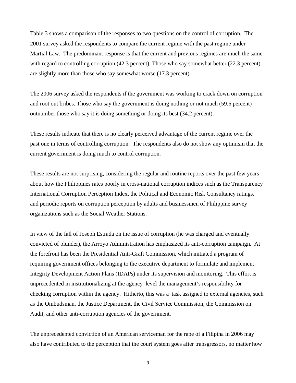Table 3 shows a comparison of the responses to two questions on the control of corruption. The 2001 survey asked the respondents to compare the current regime with the past regime under Martial Law. The predominant response is that the current and previous regimes are much the same with regard to controlling corruption (42.3 percent). Those who say somewhat better (22.3 percent) are slightly more than those who say somewhat worse (17.3 percent).

The 2006 survey asked the respondents if the government was working to crack down on corruption and root out bribes. Those who say the government is doing nothing or not much (59.6 percent) outnumber those who say it is doing something or doing its best (34.2 percent).

These results indicate that there is no clearly perceived advantage of the current regime over the past one in terms of controlling corruption. The respondents also do not show any optimism that the current government is doing much to control corruption.

These results are not surprising, considering the regular and routine reports over the past few years about how the Philippines rates poorly in cross-national corruption indices such as the Transparency International Corruption Perception Index, the Political and Economic Risk Consultancy ratings, and periodic reports on corruption perception by adults and businessmen of Philippine survey organizations such as the Social Weather Stations.

In view of the fall of Joseph Estrada on the issue of corruption (he was charged and eventually convicted of plunder), the Arroyo Administration has emphasized its anti-corruption campaign. At the forefront has been the Presidential Anti-Graft Commission, which initiated a program of requiring government offices belonging to the executive department to formulate and implement Integrity Development Action Plans (IDAPs) under its supervision and monitoring. This effort is unprecedented in institutionalizing at the agency level the management's responsibility for checking corruption within the agency. Hitherto, this was a task assigned to external agencies, such as the Ombudsman, the Justice Department, the Civil Service Commission, the Commission on Audit, and other anti-corruption agencies of the government.

The unprecedented conviction of an American serviceman for the rape of a Filipina in 2006 may also have contributed to the perception that the court system goes after transgressors, no matter how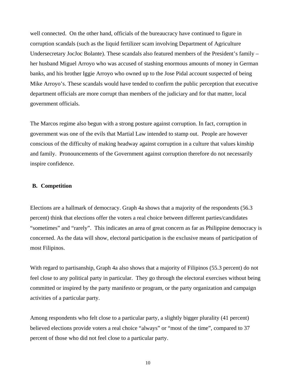well connected. On the other hand, officials of the bureaucracy have continued to figure in corruption scandals (such as the liquid fertilizer scam involving Department of Agriculture Undersecretary JocJoc Bolante). These scandals also featured members of the President's family – her husband Miguel Arroyo who was accused of stashing enormous amounts of money in German banks, and his brother Iggie Arroyo who owned up to the Jose Pidal account suspected of being Mike Arroyo's. These scandals would have tended to confirm the public perception that executive department officials are more corrupt than members of the judiciary and for that matter, local government officials.

The Marcos regime also begun with a strong posture against corruption. In fact, corruption in government was one of the evils that Martial Law intended to stamp out. People are however conscious of the difficulty of making headway against corruption in a culture that values kinship and family. Pronouncements of the Government against corruption therefore do not necessarily inspire confidence.

#### **B. Competition**

Elections are a hallmark of democracy. Graph 4a shows that a majority of the respondents (56.3 percent) think that elections offer the voters a real choice between different parties/candidates "sometimes" and "rarely". This indicates an area of great concern as far as Philippine democracy is concerned. As the data will show, electoral participation is the exclusive means of participation of most Filipinos.

With regard to partisanship, Graph 4a also shows that a majority of Filipinos (55.3 percent) do not feel close to any political party in particular. They go through the electoral exercises without being committed or inspired by the party manifesto or program, or the party organization and campaign activities of a particular party.

Among respondents who felt close to a particular party, a slightly bigger plurality (41 percent) believed elections provide voters a real choice "always" or "most of the time", compared to 37 percent of those who did not feel close to a particular party.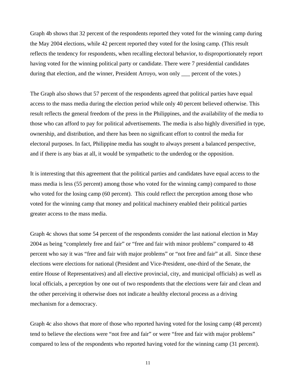Graph 4b shows that 32 percent of the respondents reported they voted for the winning camp during the May 2004 elections, while 42 percent reported they voted for the losing camp. (This result reflects the tendency for respondents, when recalling electoral behavior, to disproportionately report having voted for the winning political party or candidate. There were 7 presidential candidates during that election, and the winner, President Arroyo, won only \_\_\_ percent of the votes.)

The Graph also shows that 57 percent of the respondents agreed that political parties have equal access to the mass media during the election period while only 40 percent believed otherwise. This result reflects the general freedom of the press in the Philippines, and the availability of the media to those who can afford to pay for political advertisements. The media is also highly diversified in type, ownership, and distribution, and there has been no significant effort to control the media for electoral purposes. In fact, Philippine media has sought to always present a balanced perspective, and if there is any bias at all, it would be sympathetic to the underdog or the opposition.

It is interesting that this agreement that the political parties and candidates have equal access to the mass media is less (55 percent) among those who voted for the winning camp) compared to those who voted for the losing camp (60 percent). This could reflect the perception among those who voted for the winning camp that money and political machinery enabled their political parties greater access to the mass media.

Graph 4c shows that some 54 percent of the respondents consider the last national election in May 2004 as being "completely free and fair" or "free and fair with minor problems" compared to 48 percent who say it was "free and fair with major problems" or "not free and fair" at all. Since these elections were elections for national (President and Vice-President, one-third of the Senate, the entire House of Representatives) and all elective provincial, city, and municipal officials) as well as local officials, a perception by one out of two respondents that the elections were fair and clean and the other perceiving it otherwise does not indicate a healthy electoral process as a driving mechanism for a democracy.

Graph 4c also shows that more of those who reported having voted for the losing camp (48 percent) tend to believe the elections were "not free and fair" or were "free and fair with major problems" compared to less of the respondents who reported having voted for the winning camp (31 percent).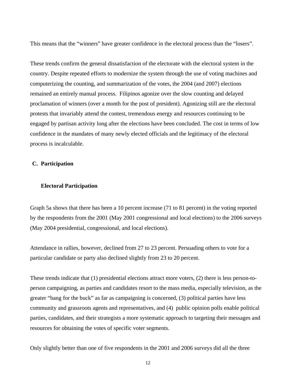This means that the "winners" have greater confidence in the electoral process than the "losers".

These trends confirm the general dissatisfaction of the electorate with the electoral system in the country. Despite repeated efforts to modernize the system through the use of voting machines and computerizing the counting, and summarization of the votes, the 2004 (and 2007) elections remained an entirely manual process. Filipinos agonize over the slow counting and delayed proclamation of winners (over a month for the post of president). Agonizing still are the electoral protests that invariably attend the contest, tremendous energy and resources continuing to be engaged by partisan activity long after the elections have been concluded. The cost in terms of low confidence in the mandates of many newly elected officials and the legitimacy of the electoral process is incalculable.

#### **C. Participation**

#### **Electoral Participation**

Graph 5a shows that there has been a 10 percent increase (71 to 81 percent) in the voting reported by the respondents from the 2001 (May 2001 congressional and local elections) to the 2006 surveys (May 2004 presidential, congressional, and local elections).

Attendance in rallies, however, declined from 27 to 23 percent. Persuading others to vote for a particular candidate or party also declined slightly from 23 to 20 percent.

These trends indicate that (1) presidential elections attract more voters, (2) there is less person-toperson campaigning, as parties and candidates resort to the mass media, especially television, as the greater "bang for the buck" as far as campaigning is concerned, (3) political parties have less community and grassroots agents and representatives, and (4) public opinion polls enable political parties, candidates, and their strategists a more systematic approach to targeting their messages and resources for obtaining the votes of specific voter segments.

Only slightly better than one of five respondents in the 2001 and 2006 surveys did all the three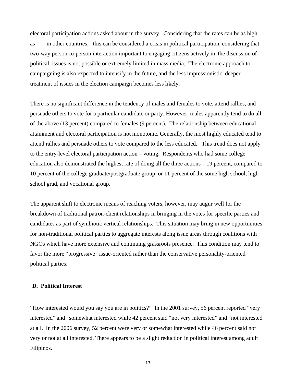electoral participation actions asked about in the survey. Considering that the rates can be as high as \_\_\_ in other countries, this can be considered a crisis in political participation, considering that two-way person-to-person interaction important to engaging citizens actively in the discussion of political issues is not possible or extremely limited in mass media. The electronic approach to campaigning is also expected to intensify in the future, and the less impressionistic, deeper treatment of issues in the election campaign becomes less likely.

There is no significant difference in the tendency of males and females to vote, attend rallies, and persuade others to vote for a particular candidate or party. However, males apparently tend to do all of the above (13 percent) compared to females (9 percent). The relationship between educational attainment and electoral participation is not monotonic. Generally, the most highly educated tend to attend rallies and persuade others to vote compared to the less educated. This trend does not apply to the entry-level electoral participation action – voting. Respondents who had some college education also demonstrated the highest rate of doing all the three actions – 19 percent, compared to 10 percent of the college graduate/postgraduate group, or 11 percent of the some high school, high school grad, and vocational group.

The apparent shift to electronic means of reaching voters, however, may augur well for the breakdown of traditional patron-client relationships in bringing in the votes for specific parties and candidates as part of symbiotic vertical relationships. This situation may bring in new opportunities for non-traditional political parties to aggregate interests along issue areas through coalitions with NGOs which have more extensive and continuing grassroots presence. This condition may tend to favor the more "progressive" issue-oriented rather than the conservative personality-oriented political parties.

#### **D. Political Interest**

"How interested would you say you are in politics?" In the 2001 survey, 56 percent reported "very interested" and "somewhat interested while 42 percent said "not very interested" and "not interested at all. In the 2006 survey, 52 percent were very or somewhat interested while 46 percent said not very or not at all interested. There appears to be a slight reduction in political interest among adult Filipinos.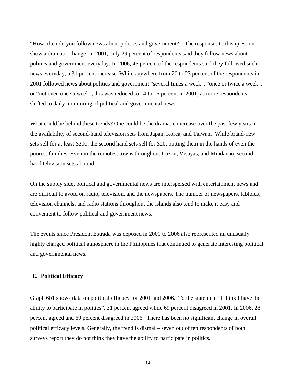"How often do you follow news about politics and government?" The responses to this question show a dramatic change. In 2001, only 29 percent of respondents said they follow news about politics and government everyday. In 2006, 45 percent of the respondents said they followed such news everyday, a 31 percent increase. While anywhere from 20 to 23 percent of the respondents in 2001 followed news about politics and government "several times a week", "once or twice a week", or "not even once a week", this was reduced to 14 to 16 percent in 2001, as more respondents shifted to daily monitoring of political and governmental news.

What could be behind these trends? One could be the dramatic increase over the past few years in the availability of second-hand television sets from Japan, Korea, and Taiwan. While brand-new sets sell for at least \$200, the second hand sets sell for \$20, putting them in the hands of even the poorest families. Even in the remotest towns throughout Luzon, Visayas, and Mindanao, secondhand television sets abound.

On the supply side, political and governmental news are interspersed with entertainment news and are difficult to avoid on radio, television, and the newspapers. The number of newspapers, tabloids, television channels, and radio stations throughout the islands also tend to make it easy and convenient to follow political and government news.

The events since President Estrada was deposed in 2001 to 2006 also represented an unusually highly charged political atmosphere in the Philippines that continued to generate interesting political and governmental news.

#### **E. Political Efficacy**

Graph 6b1 shows data on political efficacy for 2001 and 2006. To the statement "I think I have the ability to participate in politics", 31 percent agreed while 69 percent disagreed in 2001. In 2006, 28 percent agreed and 69 percent disagreed in 2006. There has been no significant change in overall political efficacy levels. Generally, the trend is dismal – seven out of ten respondents of both surveys report they do not think they have the ability to participate in politics.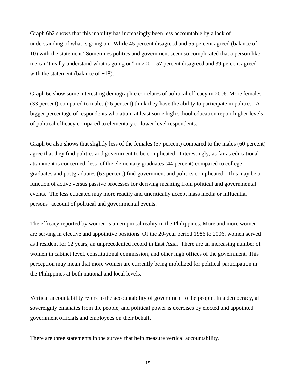Graph 6b2 shows that this inability has increasingly been less accountable by a lack of understanding of what is going on. While 45 percent disagreed and 55 percent agreed (balance of - 10) with the statement "Sometimes politics and government seem so complicated that a person like me can't really understand what is going on" in 2001, 57 percent disagreed and 39 percent agreed with the statement (balance of  $+18$ ).

Graph 6c show some interesting demographic correlates of political efficacy in 2006. More females (33 percent) compared to males (26 percent) think they have the ability to participate in politics. A bigger percentage of respondents who attain at least some high school education report higher levels of political efficacy compared to elementary or lower level respondents.

Graph 6c also shows that slightly less of the females (57 percent) compared to the males (60 percent) agree that they find politics and government to be complicated. Interestingly, as far as educational attainment is concerned, less of the elementary graduates (44 percent) compared to college graduates and postgraduates (63 percent) find government and politics complicated. This may be a function of active versus passive processes for deriving meaning from political and governmental events. The less educated may more readily and uncritically accept mass media or influential persons' account of political and governmental events.

The efficacy reported by women is an empirical reality in the Philippines. More and more women are serving in elective and appointive positions. Of the 20-year period 1986 to 2006, women served as President for 12 years, an unprecedented record in East Asia. There are an increasing number of women in cabinet level, constitutional commission, and other high offices of the government. This perception may mean that more women are currently being mobilized for political participation in the Philippines at both national and local levels.

Vertical accountability refers to the accountability of government to the people. In a democracy, all sovereignty emanates from the people, and political power is exercises by elected and appointed government officials and employees on their behalf.

There are three statements in the survey that help measure vertical accountability.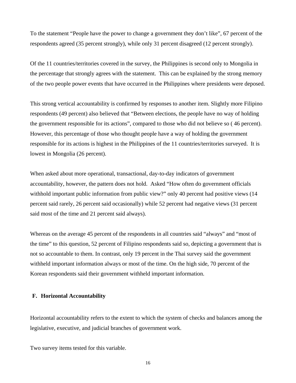To the statement "People have the power to change a government they don't like", 67 percent of the respondents agreed (35 percent strongly), while only 31 percent disagreed (12 percent strongly).

Of the 11 countries/territories covered in the survey, the Philippines is second only to Mongolia in the percentage that strongly agrees with the statement. This can be explained by the strong memory of the two people power events that have occurred in the Philippines where presidents were deposed.

This strong vertical accountability is confirmed by responses to another item. Slightly more Filipino respondents (49 percent) also believed that "Between elections, the people have no way of holding the government responsible for its actions", compared to those who did not believe so ( 46 percent). However, this percentage of those who thought people have a way of holding the government responsible for its actions is highest in the Philippines of the 11 countries/territories surveyed. It is lowest in Mongolia (26 percent).

When asked about more operational, transactional, day-to-day indicators of government accountability, however, the pattern does not hold. Asked "How often do government officials withhold important public information from public view?" only 40 percent had positive views (14 percent said rarely, 26 percent said occasionally) while 52 percent had negative views (31 percent said most of the time and 21 percent said always).

Whereas on the average 45 percent of the respondents in all countries said "always" and "most of the time" to this question, 52 percent of Filipino respondents said so, depicting a government that is not so accountable to them. In contrast, only 19 percent in the Thai survey said the government withheld important information always or most of the time. On the high side, 70 percent of the Korean respondents said their government withheld important information.

#### **F. Horizontal Accountability**

Horizontal accountability refers to the extent to which the system of checks and balances among the legislative, executive, and judicial branches of government work.

Two survey items tested for this variable.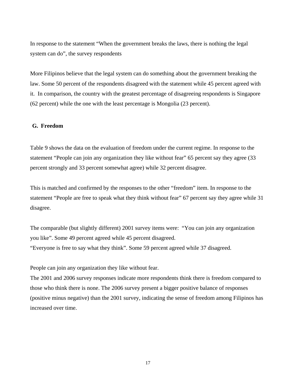In response to the statement "When the government breaks the laws, there is nothing the legal system can do", the survey respondents

More Filipinos believe that the legal system can do something about the government breaking the law. Some 50 percent of the respondents disagreed with the statement while 45 percent agreed with it. In comparison, the country with the greatest percentage of disagreeing respondents is Singapore (62 percent) while the one with the least percentage is Mongolia (23 percent).

#### **G. Freedom**

Table 9 shows the data on the evaluation of freedom under the current regime. In response to the statement "People can join any organization they like without fear" 65 percent say they agree (33 percent strongly and 33 percent somewhat agree) while 32 percent disagree.

This is matched and confirmed by the responses to the other "freedom" item. In response to the statement "People are free to speak what they think without fear" 67 percent say they agree while 31 disagree.

The comparable (but slightly different) 2001 survey items were: "You can join any organization you like". Some 49 percent agreed while 45 percent disagreed.

"Everyone is free to say what they think". Some 59 percent agreed while 37 disagreed.

People can join any organization they like without fear.

The 2001 and 2006 survey responses indicate more respondents think there is freedom compared to those who think there is none. The 2006 survey present a bigger positive balance of responses (positive minus negative) than the 2001 survey, indicating the sense of freedom among Filipinos has increased over time.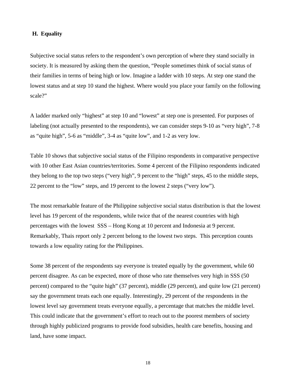#### **H. Equality**

Subjective social status refers to the respondent's own perception of where they stand socially in society. It is measured by asking them the question, "People sometimes think of social status of their families in terms of being high or low. Imagine a ladder with 10 steps. At step one stand the lowest status and at step 10 stand the highest. Where would you place your family on the following scale?"

A ladder marked only "highest" at step 10 and "lowest" at step one is presented. For purposes of labeling (not actually presented to the respondents), we can consider steps 9-10 as "very high", 7-8 as "quite high", 5-6 as "middle", 3-4 as "quite low", and 1-2 as very low.

Table 10 shows that subjective social status of the Filipino respondents in comparative perspective with 10 other East Asian countries/territories. Some 4 percent of the Filipino respondents indicated they belong to the top two steps ("very high", 9 percent to the "high" steps, 45 to the middle steps, 22 percent to the "low" steps, and 19 percent to the lowest 2 steps ("very low").

The most remarkable feature of the Philippine subjective social status distribution is that the lowest level has 19 percent of the respondents, while twice that of the nearest countries with high percentages with the lowest SSS – Hong Kong at 10 percent and Indonesia at 9 percent. Remarkably, Thais report only 2 percent belong to the lowest two steps. This perception counts towards a low equality rating for the Philippines.

Some 38 percent of the respondents say everyone is treated equally by the government, while 60 percent disagree. As can be expected, more of those who rate themselves very high in SSS (50 percent) compared to the "quite high" (37 percent), middle (29 percent), and quite low (21 percent) say the government treats each one equally. Interestingly, 29 percent of the respondents in the lowest level say government treats everyone equally, a percentage that matches the middle level. This could indicate that the government's effort to reach out to the poorest members of society through highly publicized programs to provide food subsidies, health care benefits, housing and land, have some impact.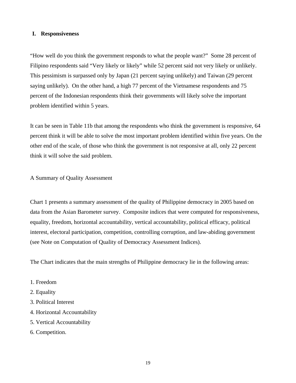#### **I. Responsiveness**

"How well do you think the government responds to what the people want?" Some 28 percent of Filipino respondents said "Very likely or likely" while 52 percent said not very likely or unlikely. This pessimism is surpassed only by Japan (21 percent saying unlikely) and Taiwan (29 percent saying unlikely). On the other hand, a high 77 percent of the Vietnamese respondents and 75 percent of the Indonesian respondents think their governments will likely solve the important problem identified within 5 years.

It can be seen in Table 11b that among the respondents who think the government is responsive, 64 percent think it will be able to solve the most important problem identified within five years. On the other end of the scale, of those who think the government is not responsive at all, only 22 percent think it will solve the said problem.

#### A Summary of Quality Assessment

Chart 1 presents a summary assessment of the quality of Philippine democracy in 2005 based on data from the Asian Barometer survey. Composite indices that were computed for responsiveness, equality, freedom, horizontal accountability, vertical accountability, political efficacy, political interest, electoral participation, competition, controlling corruption, and law-abiding government (see Note on Computation of Quality of Democracy Assessment Indices).

The Chart indicates that the main strengths of Philippine democracy lie in the following areas:

- 1. Freedom
- 2. Equality
- 3. Political Interest
- 4. Horizontal Accountability
- 5. Vertical Accountability
- 6. Competition.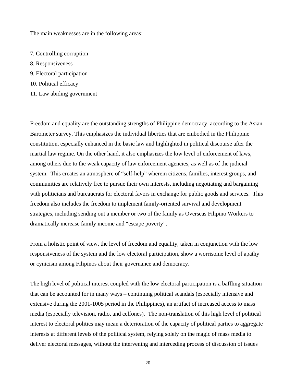The main weaknesses are in the following areas:

- 7. Controlling corruption
- 8. Responsiveness
- 9. Electoral participation
- 10. Political efficacy
- 11. Law abiding government

Freedom and equality are the outstanding strengths of Philippine democracy, according to the Asian Barometer survey. This emphasizes the individual liberties that are embodied in the Philippine constitution, especially enhanced in the basic law and highlighted in political discourse after the martial law regime. On the other hand, it also emphasizes the low level of enforcement of laws, among others due to the weak capacity of law enforcement agencies, as well as of the judicial system. This creates an atmosphere of "self-help" wherein citizens, families, interest groups, and communities are relatively free to pursue their own interests, including negotiating and bargaining with politicians and bureaucrats for electoral favors in exchange for public goods and services. This freedom also includes the freedom to implement family-oriented survival and development strategies, including sending out a member or two of the family as Overseas Filipino Workers to dramatically increase family income and "escape poverty".

From a holistic point of view, the level of freedom and equality, taken in conjunction with the low responsiveness of the system and the low electoral participation, show a worrisome level of apathy or cynicism among Filipinos about their governance and democracy.

The high level of political interest coupled with the low electoral participation is a baffling situation that can be accounted for in many ways – continuing political scandals (especially intensive and extensive during the 2001-1005 period in the Philippines), an artifact of increased access to mass media (especially television, radio, and celfones). The non-translation of this high level of political interest to electoral politics may mean a deterioration of the capacity of political parties to aggregate interests at different levels of the political system, relying solely on the magic of mass media to deliver electoral messages, without the intervening and interceding process of discussion of issues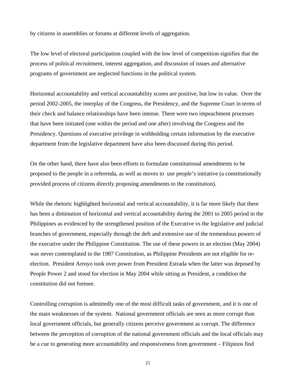by citizens in assemblies or forums at different levels of aggregation.

The low level of electoral participation coupled with the low level of competition signifies that the process of political recruitment, interest aggregation, and discussion of issues and alternative programs of government are neglected functions in the political system.

Horizontal accountability and vertical accountability scores are positive, but low in value. Over the period 2002-2005, the interplay of the Congress, the Presidency, and the Supreme Court in terms of their check and balance relationships have been intense. There were two impeachment processes that have been initiated (one within the period and one after) involving the Congress and the Presidency. Questions of executive privilege in withholding certain information by the executive department from the legislative department have also been discussed during this period.

On the other hand, there have also been efforts to formulate constitutional amendments to be proposed to the people in a referenda, as well as moves to use people's initiative (a constitutionally provided process of citizens directly proposing amendments to the constitution).

While the rhetoric highlighted horizontal and vertical accountability, it is far more likely that there has been a diminution of horizontal and vertical accountability during the 2001 to 2005 period in the Philippines as evidenced by the strengthened position of the Executive vs the legislative and judicial branches of government, especially through the deft and extensive use of the tremendous powers of the executive under the Philippine Constitution. The use of these powers in an election (May 2004) was never contemplated in the 1987 Constitution, as Philippine Presidents are not eligible for reelection. President Arroyo took over power from President Estrada when the latter was deposed by People Power 2 and stood for election in May 2004 while sitting as President, a condition the constitution did not foresee.

Controlling corruption is admittedly one of the most difficult tasks of government, and it is one of the main weaknesses of the system. National government officials are seen as more corrupt than local government officials, but generally citizens perceive government as corrupt. The difference between the perception of corruption of the national government officials and the local officials may be a cue to generating more accountability and responsiveness from government – Filipinos find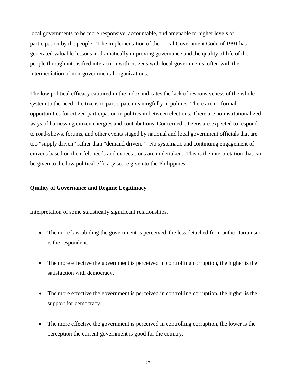local governments to be more responsive, accountable, and amenable to higher levels of participation by the people. T he implementation of the Local Government Code of 1991 has generated valuable lessons in dramatically improving governance and the quality of life of the people through intensified interaction with citizens with local governments, often with the intermediation of non-governmental organizations.

The low political efficacy captured in the index indicates the lack of responsiveness of the whole system to the need of citizens to participate meaningfully in politics. There are no formal opportunities for citizen participation in politics in between elections. There are no institutionalized ways of harnessing citizen energies and contributions. Concerned citizens are expected to respond to road-shows, forums, and other events staged by national and local government officials that are too "supply driven" rather than "demand driven." No systematic and continuing engagement of citizens based on their felt needs and expectations are undertaken. This is the interpretation that can be given to the low political efficacy score given to the Philippines

#### **Quality of Governance and Regime Legitimacy**

Interpretation of some statistically significant relationships.

- The more law-abiding the government is perceived, the less detached from authoritarianism is the respondent.
- The more effective the government is perceived in controlling corruption, the higher is the satisfaction with democracy.
- The more effective the government is perceived in controlling corruption, the higher is the support for democracy.
- The more effective the government is perceived in controlling corruption, the lower is the perception the current government is good for the country.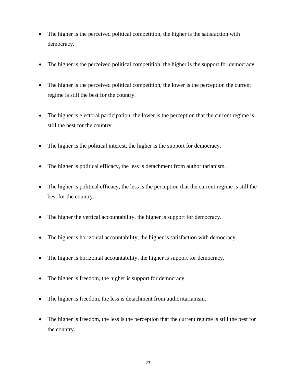- The higher is the perceived political competition, the higher is the satisfaction with democracy.
- The higher is the perceived political competition, the higher is the support for democracy.
- The higher is the perceived political competition, the lower is the perception the current regime is still the best for the country.
- The higher is electoral participation, the lower is the perception that the current regime is still the best for the country.
- The higher is the political interest, the higher is the support for democracy.
- The higher is political efficacy, the less is detachment from authoritarianism.
- The higher is political efficacy, the less is the perception that the current regime is still the best for the country.
- The higher the vertical accountability, the higher is support for democracy.
- The higher is horizontal accountability, the higher is satisfaction with democracy.
- The higher is horizontal accountability, the higher is support for democracy.
- The higher is freedom, the higher is support for democracy.
- The higher is freedom, the less is detachment from authoritarianism.
- The higher is freedom, the less is the perception that the current regime is still the best for the country.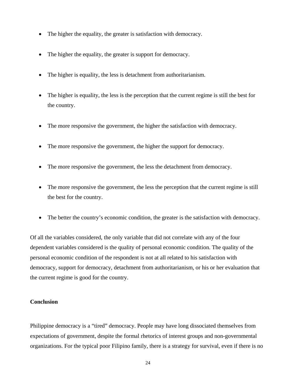- The higher the equality, the greater is satisfaction with democracy.
- The higher the equality, the greater is support for democracy.
- The higher is equality, the less is detachment from authoritarianism.
- The higher is equality, the less is the perception that the current regime is still the best for the country.
- The more responsive the government, the higher the satisfaction with democracy.
- The more responsive the government, the higher the support for democracy.
- The more responsive the government, the less the detachment from democracy.
- The more responsive the government, the less the perception that the current regime is still the best for the country.
- The better the country's economic condition, the greater is the satisfaction with democracy.

Of all the variables considered, the only variable that did not correlate with any of the four dependent variables considered is the quality of personal economic condition. The quality of the personal economic condition of the respondent is not at all related to his satisfaction with democracy, support for democracy, detachment from authoritarianism, or his or her evaluation that the current regime is good for the country.

#### **Conclusion**

Philippine democracy is a "tired" democracy. People may have long dissociated themselves from expectations of government, despite the formal rhetorics of interest groups and non-governmental organizations. For the typical poor Filipino family, there is a strategy for survival, even if there is no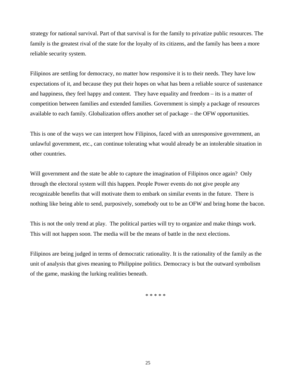strategy for national survival. Part of that survival is for the family to privatize public resources. The family is the greatest rival of the state for the loyalty of its citizens, and the family has been a more reliable security system.

Filipinos are settling for democracy, no matter how responsive it is to their needs. They have low expectations of it, and because they put their hopes on what has been a reliable source of sustenance and happiness, they feel happy and content. They have equality and freedom – its is a matter of competition between families and extended families. Government is simply a package of resources available to each family. Globalization offers another set of package – the OFW opportunities.

This is one of the ways we can interpret how Filipinos, faced with an unresponsive government, an unlawful government, etc., can continue tolerating what would already be an intolerable situation in other countries.

Will government and the state be able to capture the imagination of Filipinos once again? Only through the electoral system will this happen. People Power events do not give people any recognizable benefits that will motivate them to embark on similar events in the future. There is nothing like being able to send, purposively, somebody out to be an OFW and bring home the bacon.

This is not the only trend at play. The political parties will try to organize and make things work. This will not happen soon. The media will be the means of battle in the next elections.

Filipinos are being judged in terms of democratic rationality. It is the rationality of the family as the unit of analysis that gives meaning to Philippine politics. Democracy is but the outward symbolism of the game, masking the lurking realities beneath.

\* \* \* \* \*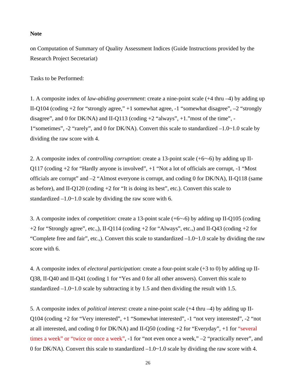#### **Note**

on Computation of Summary of Quality Assessment Indices (Guide Instructions provided by the Research Project Secretariat)

Tasks to be Performed:

1. A composite index of *law-abiding government*: create a nine-point scale (+4 thru –4) by adding up II-Q104 (coding +2 for "strongly agree," +1 somewhat agree, -1 "somewhat disagree", –2 "strongly disagree", and 0 for DK/NA) and II-Q113 (coding  $+2$  "always",  $+1$ ." most of the time", -1"sometimes", -2 "rarely", and 0 for DK/NA). Convert this scale to standardized –1.0~1.0 scale by dividing the raw score with 4.

2. A composite index of *controlling corruption*: create a 13-point scale (+6~-6) by adding up II-Q117 (coding +2 for "Hardly anyone is involved", +1 "Not a lot of officials are corrupt, -1 "Most officials are corrupt" and  $-2$  "Almost everyone is corrupt, and coding 0 for DK/NA), II-Q118 (same as before), and II-Q120 (coding +2 for "It is doing its best", etc.). Convert this scale to standardized  $-1.0 \times 1.0$  scale by dividing the raw score with 6.

3. A composite index of *competition*: create a 13-point scale (+6~-6) by adding up II-Q105 (coding +2 for "Strongly agree", etc.,), II-Q114 (coding +2 for "Always", etc.,) and II-Q43 (coding +2 for "Complete free and fair", etc.,). Convert this scale to standardized  $-1.0 \sim 1.0$  scale by dividing the raw score with 6.

4. A composite index of *electoral participation*: create a four-point scale (+3 to 0) by adding up II-Q38, II-Q40 and II-Q41 (coding 1 for "Yes and 0 for all other answers). Convert this scale to standardized –1.0~1.0 scale by subtracting it by 1.5 and then dividing the result with 1.5.

5. A composite index of *political interest*: create a nine-point scale (+4 thru –4) by adding up II-Q104 (coding +2 for "Very interested", +1 "Somewhat interested", -1 "not very interested", -2 "not at all interested, and coding 0 for DK/NA) and II-Q50 (coding +2 for "Everyday", +1 for "several times a week" or "twice or once a week", -1 for "not even once a week," -2 "practically never", and 0 for DK/NA). Convert this scale to standardized  $-1.0 \times 1.0$  scale by dividing the raw score with 4.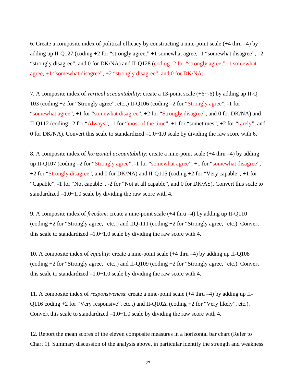6. Create a composite index of political efficacy by constructing a nine-point scale (+4 thru –4) by adding up II-Q127 (coding  $+2$  for "strongly agree,"  $+1$  somewhat agree,  $-1$  "somewhat disagree",  $-2$ "strongly disagree", and 0 for DK/NA) and II-Q128 (coding -2 for "strongly agree," -1 somewhat agree, +1 "somewhat disagree", +2 "strongly disagree", and 0 for DK/NA).

7. A composite index of *vertical accountability*: create a 13-point scale (+6~-6) by adding up II-Q 103 (coding +2 for "Strongly agree", etc.,) II-Q106 (coding –2 for "Strongly agree", -1 for "somewhat agree", +1 for "somewhat disagree", +2 for "Strongly disagree", and 0 for DK/NA) and II-Q112 (coding –2 for "Always", -1 for "most of the time", +1 for "sometimes", +2 for "rarely", and 0 for DK/NA). Convert this scale to standardized  $-1.0 \times 1.0$  scale by dividing the raw score with 6.

8. A composite index of *horizontal accountability*: create a nine-point scale (+4 thru –4) by adding up II-Q107 (coding –2 for "Strongly agree", -1 for "somewhat agree", +1 for "somewhat disagree", +2 for "Strongly disagree", and 0 for DK/NA) and II-Q115 (coding +2 for "Very capable", +1 for "Capable", -1 for "Not capable", -2 for "Not at all capable", and 0 for DK/AS). Convert this scale to standardized  $-1.0 \sim 1.0$  scale by dividing the raw score with 4.

9. A composite index of *freedom*: create a nine-point scale (+4 thru –4) by adding up II-Q110 (coding +2 for "Strongly agree," etc.,) and IIQ-111 (coding +2 for "Strongly agree," etc.). Convert this scale to standardized  $-1.0 \times 1.0$  scale by dividing the raw score with 4.

10. A composite index of *equality*: create a nine-point scale (+4 thru –4) by adding up II-Q108 (coding +2 for "Strongly agree," etc.,) and II-Q109 (coding +2 for "Strongly agree," etc.). Convert this scale to standardized  $-1.0 \times 1.0$  scale by dividing the raw score with 4.

11. A composite index of *responsivenes*s: create a nine-point scale (+4 thru –4) by adding up II-Q116 coding +2 for "Very responsive", etc.,) and II-Q102a (coding +2 for "Very likely", etc.). Convert this scale to standardized  $-1.0 \sim 1.0$  scale by dividing the raw score with 4.

12. Report the mean scores of the eleven composite measures in a horizontal bar chart (Refer to Chart 1). Summary discussion of the analysis above, in particular identify the strength and weakness